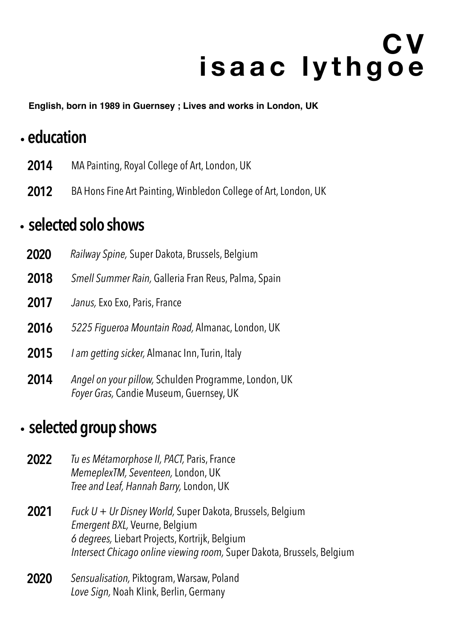# **C V isaac lythgoe**

**English, born in 1989 in Guernsey ; Lives and works in London, UK**

## .**education**

- **2014** MA Painting, Royal College of Art, London, UK
- **2012** BA Hons Fine Art Painting, Winbledon College of Art, London, UK

#### .**selected solo shows**

- **2020** *Railway Spine,* Super Dakota, Brussels, Belgium
- **2018** *Smell Summer Rain,* Galleria Fran Reus, Palma, Spain
- **2017** *Janus,* Exo Exo, Paris, France
- **2016** *5225 Figueroa Mountain Road,* Almanac, London, UK
- **2015** *I am getting sicker,* Almanac Inn, Turin, Italy
- **2014** *Angel on your pillow,* Schulden Programme, London, UK *Foyer Gras,* Candie Museum, Guernsey, UK

#### .**selected group shows**

- **2022** *Tu es Métamorphose II, PACT,* Paris, France *MemeplexTM, Seventeen,* London, UK *Tree and Leaf, Hannah Barry,* London, UK
- **2021** *Fuck U + Ur Disney World,* Super Dakota, Brussels, Belgium *Emergent BXL,* Veurne, Belgium *6 degrees,* Liebart Projects, Kortrijk, Belgium *Intersect Chicago online viewing room,* Super Dakota, Brussels, Belgium
- **2020** *Sensualisation,* Piktogram, Warsaw, Poland *Love Sign,* Noah Klink, Berlin, Germany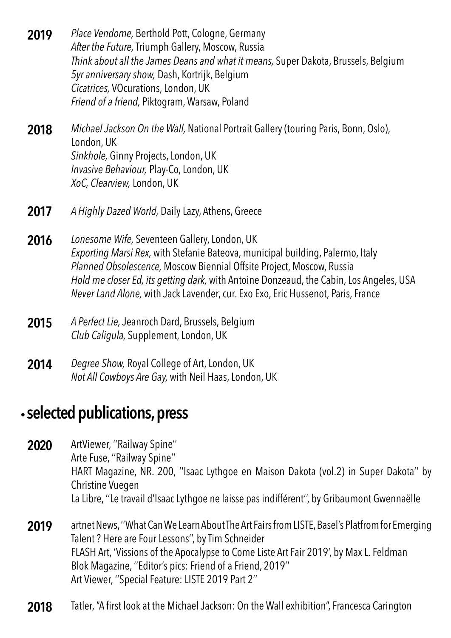- **2019** *Place Vendome,* Berthold Pott, Cologne, Germany *After the Future,* Triumph Gallery, Moscow, Russia *Think about all the James Deans and what it means,* Super Dakota, Brussels, Belgium *5yr anniversary show,* Dash, Kortrijk, Belgium *Cicatrices,* VOcurations, London, UK *Friend of a friend,* Piktogram, Warsaw, Poland
- **2018** *Michael Jackson On the Wall,* National Portrait Gallery (touring Paris, Bonn, Oslo), London, UK *Sinkhole,* Ginny Projects, London, UK *Invasive Behaviour,* Play-Co, London, UK *XoC, Clearview,* London, UK
- **2017** *A Highly Dazed World,* Daily Lazy, Athens, Greece
- **2016** *Lonesome Wife,* Seventeen Gallery, London, UK *Exporting Marsi Rex,* with Stefanie Bateova, municipal building, Palermo, Italy *Planned Obsolescence,* Moscow Biennial Offsite Project, Moscow, Russia *Hold me closer Ed, its getting dark,* with Antoine Donzeaud, the Cabin, Los Angeles, USA *Never Land Alone,* with Jack Lavender, cur. Exo Exo, Eric Hussenot, Paris, France
- **2015** *A Perfect Lie,* Jeanroch Dard, Brussels, Belgium *Club Caligula,* Supplement, London, UK
- **2014** *Degree Show,* Royal College of Art, London, UK *Not All Cowboys Are Gay,* with Neil Haas, London, UK

#### .**selected publications, press**

- **2020** ArtViewer, "Railway Spine" Arte Fuse, ''Railway Spine'' HART Magazine, NR. 200, ''Isaac Lythgoe en Maison Dakota (vol.2) in Super Dakota'' by Christine Vuegen La Libre, ''Le travail d'Isaac Lythgoe ne laisse pas indifférent'', by Gribaumont Gwennaëlle
- **2019** artnet News, ''What Can We Learn About The Art Fairs from LISTE, Basel's Platfrom for Emerging Talent ? Here are Four Lessons'', by Tim Schneider FLASH Art, 'Vissions of the Apocalypse to Come Liste Art Fair 2019', by Max L. Feldman Blok Magazine, ''Editor's pics: Friend of a Friend, 2019'' Art Viewer, ''Special Feature: LISTE 2019 Part 2''
- 2018 Tatler, "A first look at the Michael Jackson: On the Wall exhibition", Francesca Carington